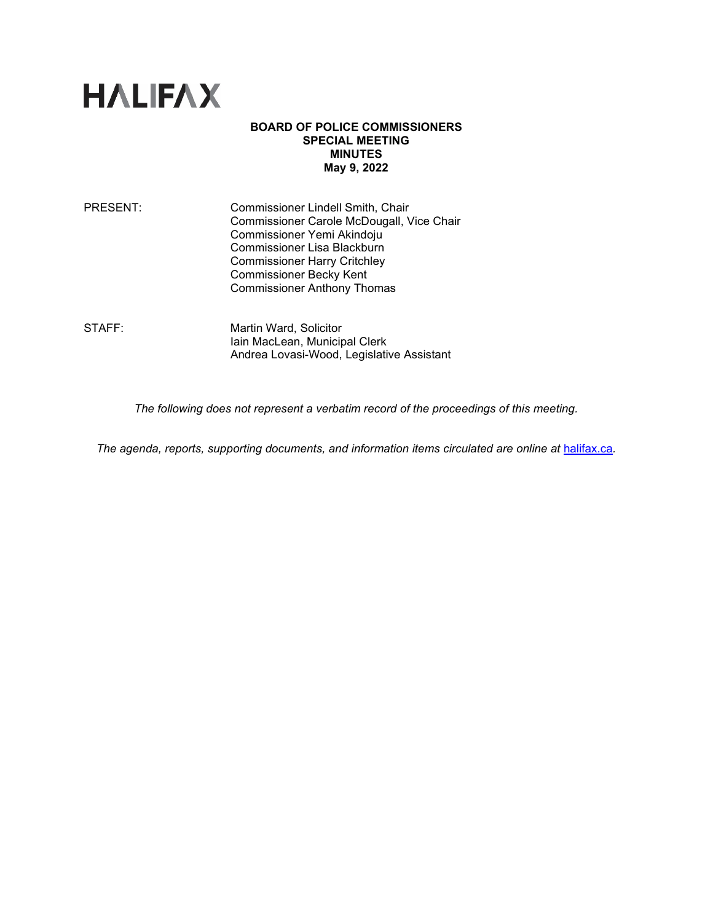

## **BOARD OF POLICE COMMISSIONERS SPECIAL MEETING MINUTES May 9, 2022**

PRESENT: Commissioner Lindell Smith, Chair Commissioner Carole McDougall, Vice Chair Commissioner Yemi Akindoju Commissioner Lisa Blackburn Commissioner Harry Critchley Commissioner Becky Kent Commissioner Anthony Thomas

STAFF: Martin Ward, Solicitor Iain MacLean, Municipal Clerk Andrea Lovasi-Wood, Legislative Assistant

*The following does not represent a verbatim record of the proceedings of this meeting.*

The agenda, reports, supporting documents, and information items circulated are online at [halifax.ca](http://www.halifax.ca/).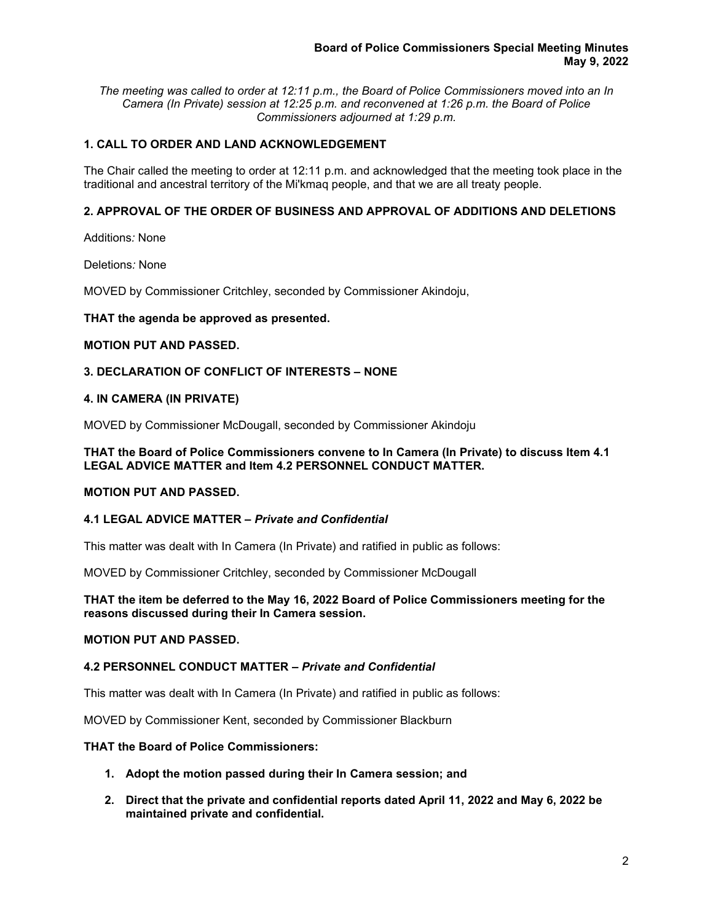*The meeting was called to order at 12:11 p.m., the Board of Police Commissioners moved into an In Camera (In Private) session at 12:25 p.m. and reconvened at 1:26 p.m. the Board of Police Commissioners adjourned at 1:29 p.m.*

# **1. CALL TO ORDER AND LAND ACKNOWLEDGEMENT**

The Chair called the meeting to order at 12:11 p.m. and acknowledged that the meeting took place in the traditional and ancestral territory of the Mi'kmaq people, and that we are all treaty people.

## **2. APPROVAL OF THE ORDER OF BUSINESS AND APPROVAL OF ADDITIONS AND DELETIONS**

Additions*:* None

Deletions*:* None

MOVED by Commissioner Critchley, seconded by Commissioner Akindoju,

#### **THAT the agenda be approved as presented.**

#### **MOTION PUT AND PASSED.**

## **3. DECLARATION OF CONFLICT OF INTERESTS – NONE**

#### **4. IN CAMERA (IN PRIVATE)**

MOVED by Commissioner McDougall, seconded by Commissioner Akindoju

### **THAT the Board of Police Commissioners convene to In Camera (In Private) to discuss Item 4.1 LEGAL ADVICE MATTER and Item 4.2 PERSONNEL CONDUCT MATTER.**

### **MOTION PUT AND PASSED.**

## **4.1 LEGAL ADVICE MATTER –** *Private and Confidential*

This matter was dealt with In Camera (In Private) and ratified in public as follows:

MOVED by Commissioner Critchley, seconded by Commissioner McDougall

### **THAT the item be deferred to the May 16, 2022 Board of Police Commissioners meeting for the reasons discussed during their In Camera session.**

## **MOTION PUT AND PASSED.**

### **4.2 PERSONNEL CONDUCT MATTER –** *Private and Confidential*

This matter was dealt with In Camera (In Private) and ratified in public as follows:

MOVED by Commissioner Kent, seconded by Commissioner Blackburn

### **THAT the Board of Police Commissioners:**

- **1. Adopt the motion passed during their In Camera session; and**
- **2. Direct that the private and confidential reports dated April 11, 2022 and May 6, 2022 be maintained private and confidential.**